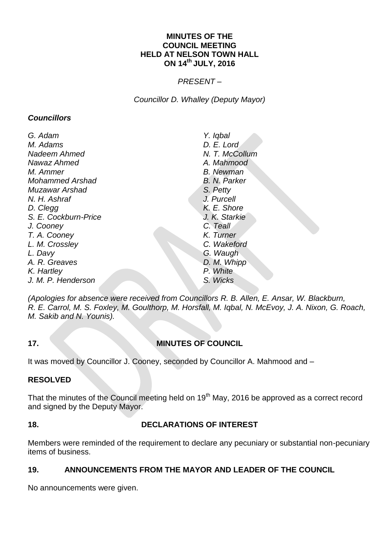#### **MINUTES OF THE COUNCIL MEETING HELD AT NELSON TOWN HALL ON 14th JULY, 2016**

#### *PRESENT –*

*Councillor D. Whalley (Deputy Mayor)*

#### *Councillors*

| G. Adam                | Y. Iqbal         |
|------------------------|------------------|
| M. Adams               | D. E. Lord       |
| Nadeem Ahmed           | N. T. McCollum   |
| Nawaz Ahmed            | A. Mahmood       |
| M. Ammer               | <b>B.</b> Newman |
| <b>Mohammed Arshad</b> | B. N. Parker     |
| Muzawar Arshad         | S. Petty         |
| N. H. Ashraf           | J. Purcell       |
| D. Clegg               | K. E. Shore      |
| S. E. Cockburn-Price   | J. K. Starkie    |
| J. Cooney              | C. Teall         |
| T. A. Cooney           | K. Turner        |
| L. M. Crossley         | C. Wakeford      |
| L. Davy                | G. Waugh         |
| A. R. Greaves          | D. M. Whipp      |
| K. Hartley             | P. White         |
| J. M. P. Henderson     | S. Wicks         |

*(Apologies for absence were received from Councillors R. B. Allen, E. Ansar, W. Blackburn, R. E. Carrol, M. S. Foxley, M. Goulthorp, M. Horsfall, M. Iqbal, N. McEvoy, J. A. Nixon, G. Roach, M. Sakib and N. Younis).*

# **17. MINUTES OF COUNCIL**

It was moved by Councillor J. Cooney, seconded by Councillor A. Mahmood and –

## **RESOLVED**

That the minutes of the Council meeting held on 19<sup>th</sup> May, 2016 be approved as a correct record and signed by the Deputy Mayor.

# **18. DECLARATIONS OF INTEREST**

Members were reminded of the requirement to declare any pecuniary or substantial non-pecuniary items of business.

# **19. ANNOUNCEMENTS FROM THE MAYOR AND LEADER OF THE COUNCIL**

No announcements were given.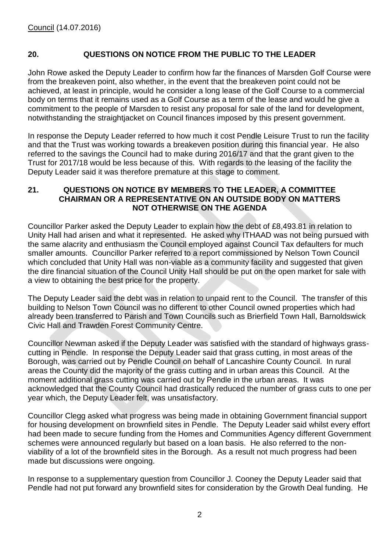#### **20. QUESTIONS ON NOTICE FROM THE PUBLIC TO THE LEADER**

John Rowe asked the Deputy Leader to confirm how far the finances of Marsden Golf Course were from the breakeven point, also whether, in the event that the breakeven point could not be achieved, at least in principle, would he consider a long lease of the Golf Course to a commercial body on terms that it remains used as a Golf Course as a term of the lease and would he give a commitment to the people of Marsden to resist any proposal for sale of the land for development, notwithstanding the straightjacket on Council finances imposed by this present government.

In response the Deputy Leader referred to how much it cost Pendle Leisure Trust to run the facility and that the Trust was working towards a breakeven position during this financial year. He also referred to the savings the Council had to make during 2016/17 and that the grant given to the Trust for 2017/18 would be less because of this. With regards to the leasing of the facility the Deputy Leader said it was therefore premature at this stage to comment.

#### **21. QUESTIONS ON NOTICE BY MEMBERS TO THE LEADER, A COMMITTEE CHAIRMAN OR A REPRESENTATIVE ON AN OUTSIDE BODY ON MATTERS NOT OTHERWISE ON THE AGENDA**

Councillor Parker asked the Deputy Leader to explain how the debt of £8,493.81 in relation to Unity Hall had arisen and what it represented. He asked why ITHAAD was not being pursued with the same alacrity and enthusiasm the Council employed against Council Tax defaulters for much smaller amounts. Councillor Parker referred to a report commissioned by Nelson Town Council which concluded that Unity Hall was non-viable as a community facility and suggested that given the dire financial situation of the Council Unity Hall should be put on the open market for sale with a view to obtaining the best price for the property.

The Deputy Leader said the debt was in relation to unpaid rent to the Council. The transfer of this building to Nelson Town Council was no different to other Council owned properties which had already been transferred to Parish and Town Councils such as Brierfield Town Hall, Barnoldswick Civic Hall and Trawden Forest Community Centre.

Councillor Newman asked if the Deputy Leader was satisfied with the standard of highways grasscutting in Pendle. In response the Deputy Leader said that grass cutting, in most areas of the Borough, was carried out by Pendle Council on behalf of Lancashire County Council. In rural areas the County did the majority of the grass cutting and in urban areas this Council. At the moment additional grass cutting was carried out by Pendle in the urban areas. It was acknowledged that the County Council had drastically reduced the number of grass cuts to one per year which, the Deputy Leader felt, was unsatisfactory.

Councillor Clegg asked what progress was being made in obtaining Government financial support for housing development on brownfield sites in Pendle. The Deputy Leader said whilst every effort had been made to secure funding from the Homes and Communities Agency different Government schemes were announced regularly but based on a loan basis. He also referred to the nonviability of a lot of the brownfield sites in the Borough. As a result not much progress had been made but discussions were ongoing.

In response to a supplementary question from Councillor J. Cooney the Deputy Leader said that Pendle had not put forward any brownfield sites for consideration by the Growth Deal funding. He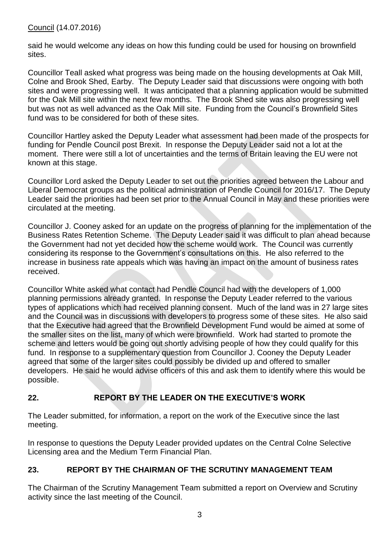Council (14.07.2016)

said he would welcome any ideas on how this funding could be used for housing on brownfield sites.

Councillor Teall asked what progress was being made on the housing developments at Oak Mill, Colne and Brook Shed, Earby. The Deputy Leader said that discussions were ongoing with both sites and were progressing well. It was anticipated that a planning application would be submitted for the Oak Mill site within the next few months. The Brook Shed site was also progressing well but was not as well advanced as the Oak Mill site. Funding from the Council's Brownfield Sites fund was to be considered for both of these sites.

Councillor Hartley asked the Deputy Leader what assessment had been made of the prospects for funding for Pendle Council post Brexit. In response the Deputy Leader said not a lot at the moment. There were still a lot of uncertainties and the terms of Britain leaving the EU were not known at this stage.

Councillor Lord asked the Deputy Leader to set out the priorities agreed between the Labour and Liberal Democrat groups as the political administration of Pendle Council for 2016/17. The Deputy Leader said the priorities had been set prior to the Annual Council in May and these priorities were circulated at the meeting.

Councillor J. Cooney asked for an update on the progress of planning for the implementation of the Business Rates Retention Scheme. The Deputy Leader said it was difficult to plan ahead because the Government had not yet decided how the scheme would work. The Council was currently considering its response to the Government's consultations on this. He also referred to the increase in business rate appeals which was having an impact on the amount of business rates received.

Councillor White asked what contact had Pendle Council had with the developers of 1,000 planning permissions already granted. In response the Deputy Leader referred to the various types of applications which had received planning consent. Much of the land was in 27 large sites and the Council was in discussions with developers to progress some of these sites. He also said that the Executive had agreed that the Brownfield Development Fund would be aimed at some of the smaller sites on the list, many of which were brownfield. Work had started to promote the scheme and letters would be going out shortly advising people of how they could qualify for this fund. In response to a supplementary question from Councillor J. Cooney the Deputy Leader agreed that some of the larger sites could possibly be divided up and offered to smaller developers. He said he would advise officers of this and ask them to identify where this would be possible.

# **22. REPORT BY THE LEADER ON THE EXECUTIVE'S WORK**

The Leader submitted, for information, a report on the work of the Executive since the last meeting.

In response to questions the Deputy Leader provided updates on the Central Colne Selective Licensing area and the Medium Term Financial Plan.

# **23. REPORT BY THE CHAIRMAN OF THE SCRUTINY MANAGEMENT TEAM**

The Chairman of the Scrutiny Management Team submitted a report on Overview and Scrutiny activity since the last meeting of the Council.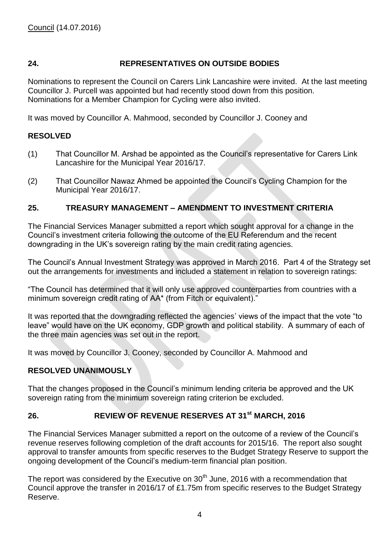# **24. REPRESENTATIVES ON OUTSIDE BODIES**

Nominations to represent the Council on Carers Link Lancashire were invited. At the last meeting Councillor J. Purcell was appointed but had recently stood down from this position. Nominations for a Member Champion for Cycling were also invited.

It was moved by Councillor A. Mahmood, seconded by Councillor J. Cooney and

#### **RESOLVED**

- (1) That Councillor M. Arshad be appointed as the Council's representative for Carers Link Lancashire for the Municipal Year 2016/17.
- (2) That Councillor Nawaz Ahmed be appointed the Council's Cycling Champion for the Municipal Year 2016/17.

#### **25. TREASURY MANAGEMENT – AMENDMENT TO INVESTMENT CRITERIA**

The Financial Services Manager submitted a report which sought approval for a change in the Council's investment criteria following the outcome of the EU Referendum and the recent downgrading in the UK's sovereign rating by the main credit rating agencies.

The Council's Annual Investment Strategy was approved in March 2016. Part 4 of the Strategy set out the arrangements for investments and included a statement in relation to sovereign ratings:

"The Council has determined that it will only use approved counterparties from countries with a minimum sovereign credit rating of AA\* (from Fitch or equivalent)."

It was reported that the downgrading reflected the agencies' views of the impact that the vote "to leave" would have on the UK economy, GDP growth and political stability. A summary of each of the three main agencies was set out in the report.

It was moved by Councillor J. Cooney, seconded by Councillor A. Mahmood and

#### **RESOLVED UNANIMOUSLY**

That the changes proposed in the Council's minimum lending criteria be approved and the UK sovereign rating from the minimum sovereign rating criterion be excluded.

### **26. REVIEW OF REVENUE RESERVES AT 31st MARCH, 2016**

The Financial Services Manager submitted a report on the outcome of a review of the Council's revenue reserves following completion of the draft accounts for 2015/16. The report also sought approval to transfer amounts from specific reserves to the Budget Strategy Reserve to support the ongoing development of the Council's medium-term financial plan position.

The report was considered by the Executive on  $30<sup>th</sup>$  June, 2016 with a recommendation that Council approve the transfer in 2016/17 of £1.75m from specific reserves to the Budget Strategy Reserve.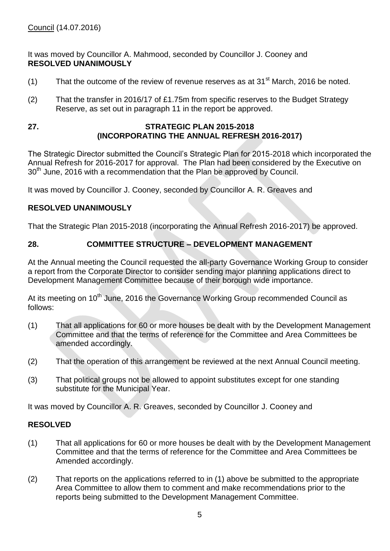It was moved by Councillor A. Mahmood, seconded by Councillor J. Cooney and **RESOLVED UNANIMOUSLY**

- (1) That the outcome of the review of revenue reserves as at 31 $^{\rm st}$  March, 2016 be noted.
- (2) That the transfer in 2016/17 of £1.75m from specific reserves to the Budget Strategy Reserve, as set out in paragraph 11 in the report be approved.

#### **27. STRATEGIC PLAN 2015-2018 (INCORPORATING THE ANNUAL REFRESH 2016-2017)**

The Strategic Director submitted the Council's Strategic Plan for 2015-2018 which incorporated the Annual Refresh for 2016-2017 for approval. The Plan had been considered by the Executive on 30<sup>th</sup> June, 2016 with a recommendation that the Plan be approved by Council.

It was moved by Councillor J. Cooney, seconded by Councillor A. R. Greaves and

# **RESOLVED UNANIMOUSLY**

That the Strategic Plan 2015-2018 (incorporating the Annual Refresh 2016-2017) be approved.

# **28. COMMITTEE STRUCTURE – DEVELOPMENT MANAGEMENT**

At the Annual meeting the Council requested the all-party Governance Working Group to consider a report from the Corporate Director to consider sending major planning applications direct to Development Management Committee because of their borough wide importance.

At its meeting on 10<sup>th</sup> June, 2016 the Governance Working Group recommended Council as follows:

- (1) That all applications for 60 or more houses be dealt with by the Development Management Committee and that the terms of reference for the Committee and Area Committees be amended accordingly.
- (2) That the operation of this arrangement be reviewed at the next Annual Council meeting.
- (3) That political groups not be allowed to appoint substitutes except for one standing substitute for the Municipal Year.

It was moved by Councillor A. R. Greaves, seconded by Councillor J. Cooney and

#### **RESOLVED**

- (1) That all applications for 60 or more houses be dealt with by the Development Management Committee and that the terms of reference for the Committee and Area Committees be Amended accordingly.
- (2) That reports on the applications referred to in (1) above be submitted to the appropriate Area Committee to allow them to comment and make recommendations prior to the reports being submitted to the Development Management Committee.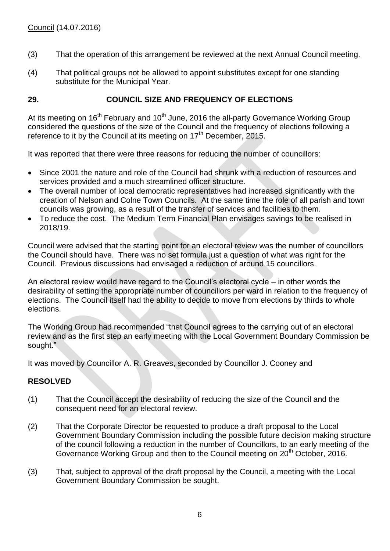- (3) That the operation of this arrangement be reviewed at the next Annual Council meeting.
- (4) That political groups not be allowed to appoint substitutes except for one standing substitute for the Municipal Year.

### **29. COUNCIL SIZE AND FREQUENCY OF ELECTIONS**

At its meeting on  $16<sup>th</sup>$  February and  $10<sup>th</sup>$  June, 2016 the all-party Governance Working Group considered the questions of the size of the Council and the frequency of elections following a reference to it by the Council at its meeting on 17<sup>th</sup> December, 2015.

It was reported that there were three reasons for reducing the number of councillors:

- Since 2001 the nature and role of the Council had shrunk with a reduction of resources and services provided and a much streamlined officer structure.
- The overall number of local democratic representatives had increased significantly with the creation of Nelson and Colne Town Councils. At the same time the role of all parish and town councils was growing, as a result of the transfer of services and facilities to them.
- To reduce the cost. The Medium Term Financial Plan envisages savings to be realised in 2018/19.

Council were advised that the starting point for an electoral review was the number of councillors the Council should have. There was no set formula just a question of what was right for the Council. Previous discussions had envisaged a reduction of around 15 councillors.

An electoral review would have regard to the Council's electoral cycle – in other words the desirability of setting the appropriate number of councillors per ward in relation to the frequency of elections. The Council itself had the ability to decide to move from elections by thirds to whole elections.

The Working Group had recommended "that Council agrees to the carrying out of an electoral review and as the first step an early meeting with the Local Government Boundary Commission be sought."

It was moved by Councillor A. R. Greaves, seconded by Councillor J. Cooney and

#### **RESOLVED**

- (1) That the Council accept the desirability of reducing the size of the Council and the consequent need for an electoral review.
- (2) That the Corporate Director be requested to produce a draft proposal to the Local Government Boundary Commission including the possible future decision making structure of the council following a reduction in the number of Councillors, to an early meeting of the Governance Working Group and then to the Council meeting on 20<sup>th</sup> October, 2016.
- (3) That, subject to approval of the draft proposal by the Council, a meeting with the Local Government Boundary Commission be sought.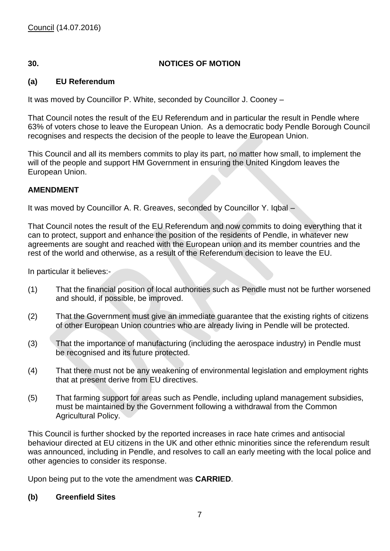# **30. NOTICES OF MOTION**

# **(a) EU Referendum**

It was moved by Councillor P. White, seconded by Councillor J. Cooney –

That Council notes the result of the EU Referendum and in particular the result in Pendle where 63% of voters chose to leave the European Union. As a democratic body Pendle Borough Council recognises and respects the decision of the people to leave the European Union.

This Council and all its members commits to play its part, no matter how small, to implement the will of the people and support HM Government in ensuring the United Kingdom leaves the European Union.

#### **AMENDMENT**

It was moved by Councillor A. R. Greaves, seconded by Councillor Y. Iqbal –

That Council notes the result of the EU Referendum and now commits to doing everything that it can to protect, support and enhance the position of the residents of Pendle, in whatever new agreements are sought and reached with the European union and its member countries and the rest of the world and otherwise, as a result of the Referendum decision to leave the EU.

In particular it believes:-

- (1) That the financial position of local authorities such as Pendle must not be further worsened and should, if possible, be improved.
- (2) That the Government must give an immediate guarantee that the existing rights of citizens of other European Union countries who are already living in Pendle will be protected.
- (3) That the importance of manufacturing (including the aerospace industry) in Pendle must be recognised and its future protected.
- (4) That there must not be any weakening of environmental legislation and employment rights that at present derive from EU directives.
- (5) That farming support for areas such as Pendle, including upland management subsidies, must be maintained by the Government following a withdrawal from the Common Agricultural Policy.

This Council is further shocked by the reported increases in race hate crimes and antisocial behaviour directed at EU citizens in the UK and other ethnic minorities since the referendum result was announced, including in Pendle, and resolves to call an early meeting with the local police and other agencies to consider its response.

Upon being put to the vote the amendment was **CARRIED**.

#### **(b) Greenfield Sites**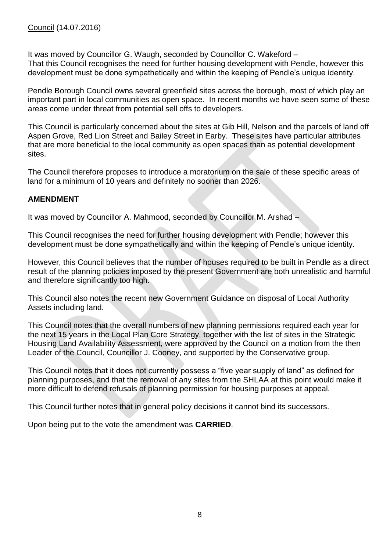It was moved by Councillor G. Waugh, seconded by Councillor C. Wakeford – That this Council recognises the need for further housing development with Pendle, however this development must be done sympathetically and within the keeping of Pendle's unique identity.

Pendle Borough Council owns several greenfield sites across the borough, most of which play an important part in local communities as open space. In recent months we have seen some of these areas come under threat from potential sell offs to developers.

This Council is particularly concerned about the sites at Gib Hill, Nelson and the parcels of land off Aspen Grove, Red Lion Street and Bailey Street in Earby. These sites have particular attributes that are more beneficial to the local community as open spaces than as potential development sites.

The Council therefore proposes to introduce a moratorium on the sale of these specific areas of land for a minimum of 10 years and definitely no sooner than 2026.

#### **AMENDMENT**

It was moved by Councillor A. Mahmood, seconded by Councillor M. Arshad –

This Council recognises the need for further housing development with Pendle; however this development must be done sympathetically and within the keeping of Pendle's unique identity.

However, this Council believes that the number of houses required to be built in Pendle as a direct result of the planning policies imposed by the present Government are both unrealistic and harmful and therefore significantly too high.

This Council also notes the recent new Government Guidance on disposal of Local Authority Assets including land.

This Council notes that the overall numbers of new planning permissions required each year for the next 15 years in the Local Plan Core Strategy, together with the list of sites in the Strategic Housing Land Availability Assessment, were approved by the Council on a motion from the then Leader of the Council, Councillor J. Cooney, and supported by the Conservative group.

This Council notes that it does not currently possess a "five year supply of land" as defined for planning purposes, and that the removal of any sites from the SHLAA at this point would make it more difficult to defend refusals of planning permission for housing purposes at appeal.

This Council further notes that in general policy decisions it cannot bind its successors.

Upon being put to the vote the amendment was **CARRIED**.